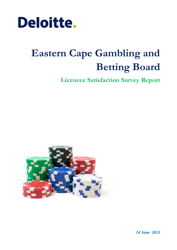

# **Eastern Cape Gambling and Betting Board**

**Licencee Satisfaction Survey Report**



**24 June 2013**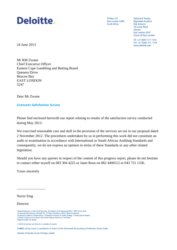

**PO Box 271** East London 5200 South Africa

Deloitte & Touche **Registered Auditors Risk Advisory** 16 Surrey Road Vincent East London 5247 Docex 28 East London

Tel: +27 (0)43 721 1336 Fax: +27 (0)43 721 1318 www.deloitte.com

24 June 2013

Mr RM Zwane Chief Executive Officer Eastern Cape Gambling and Betting Board Quenera Drive Beacon Bay EAST LONDON 5247

Dear Mr Zwane

**Licencees Satisfaction Survey**

Please find enclosed herewith our report relating to results of the satisfaction survey conducted during May 2013.

We exercised reasonable care and skill in the provision of the services set out in our proposal dated 2 November 2012. The procedures undertaken by us in performing this work did not constitute an audit or examination in accordance with International or South African Auditing Standards and consequently, we do not express an opinion in terms of these Standards or any other related legislation.

Should you have any queries in respect of the content of this progress report, please do not hesitate to contact either myself on 083 304 4225 or Janet Rous on 082 4406512 or 043 721 1336.

Yours sincerely

\_\_\_\_\_\_\_\_\_\_\_\_\_\_\_\_

Navin Sing

Director

A full list of partners and directors is available on request

B-BBEE rating: Level 2 contributor in terms of the Chartered Accountancy Profession Sector Code

Member of Deloitte Touche Tohmatsu Limited

National Executive: LL Bam Chief Executive AE Swiegers Chief Operating Officer GM Pinnock Audit DL Kennedy Risk Advisory NB Kader Tax TP Pillay Consulting K Black Clients & Industries JK Mazzocco Talent & Transformation CR Beukman Finance M Jordan Strategy S Gwala Special Projects TJ Brown Chairman of the Board MJ Comber Deputy Chairman of the Board Regional Leader: GC Brazier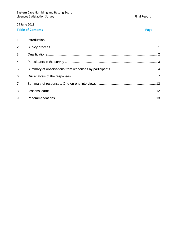#### **Table of Contents**

**Final Report** 

| 1.             |  |
|----------------|--|
| 2.             |  |
| 3 <sub>1</sub> |  |
| 4.             |  |
| 5.             |  |
| 6.             |  |
| 7.             |  |
| 8.             |  |
| 9.             |  |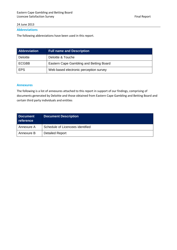#### **Abbreviations**

The following abbreviations have been used in this report.

| <b>Abbreviation</b> | <b>Full name and Description</b>        |
|---------------------|-----------------------------------------|
| <b>Deloitte</b>     | Deloitte & Touche                       |
| <b>ECGBB</b>        | Eastern Cape Gambling and Betting Board |
| <b>EPS</b>          | Web based electronic perception survey  |

#### **Annexures**

The following is a list of annexures attached to this report in support of our findings, comprising of documents generated by Deloitte and those obtained from Eastern Cape Gambling and Betting Board and certain third party individuals and entities

| Document<br>reference | <b>Document Description</b>      |
|-----------------------|----------------------------------|
| Annexure A            | Schedule of Licencees identified |
| Annexure B            | <b>Detailed Report</b>           |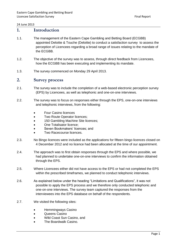#### <span id="page-4-0"></span>**1. Introduction**

- 1.1. The management of the Eastern Cape Gambling and Betting Board (ECGBB) appointed Deloitte & Touche (Deloitte) to conduct a satisfaction survey to assess the perception of Licencees regarding a broad range of issues relating to the mandate of the ECGBB.
- 1.2. The objective of the survey was to assess, through direct feedback from Licencees, how the ECGBB has been executing and implementing its mandate.
- 1.3. The survey commenced on Monday 29 April 2013.

#### <span id="page-4-1"></span>**2. Survey process**

- 2.1. The survey was to include the completion of a web-based electronic perception survey (EPS) by Licencees, as well as telephonic and one-on-one interviews.
- 2.2. The survey was to focus on responses either through the EPS, one-on-one interviews and telephonic interviews, from the following:
	- Four Casino licences
	- Two Route Operator licences;
	- 150 Gambling Machine Site licences;
	- One Totalisator licence;
	- Seven Bookmakers' licences: and
	- Two Racecourse licences.
- 2.3. No Bingo licences were included as the applications for fifteen bingo licences closed on 4 December 2012 and no licence had been allocated at the time of our appointment.
- 2.4. The approach was to first obtain responses through the EPS and where possible, we had planned to undertake one-on-one interviews to confirm the information obtained through the EPS.
- 2.5. Where Licencees either did not have access to the EPS or had not completed the EPS within the prescribed timeframes, we planned to conduct telephonic interviews.
- 2.6. As explained below under the heading "Limitations and Qualifications", it was not possible to apply the EPS process and we therefore only conducted telephonic and one-on-one interviews. The survey team captured the responses from the interviewees into the EPS database on behalf of the respondents.
- 2.7. We visited the following sites:
	- Hemmingways Casino
	- **•** Queens Casino
	- Wild Coast Sun Casino, and
	- The Boardwalk Casino.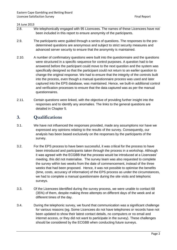- 2.8. We telephonically engaged with 95 Licencees. The names of these Licencees have not been included in this report to ensure anonymity of the participants.
- 2.9. The participants were guided through a series of questions. The responses to the predetermined questions are anonymous and subject to strict security measures and advanced server security to ensure that the anonymity is maintained.
- 2.10. A number of confirmatory questions were built into the questionnaire and the questions were structured in a specific sequence for control purposes. A question had to be answered before the participant could move to the next question and the system was specifically designed so that the participant could not return to an earlier question to change the original response. We had to ensure that the integrity of the controls built into the process, even though a manual questionnaire process was used and later captured into the EPS database, was maintained. Hence, we built-in additional control and verification processes to ensure that the data captured was as per the manual questionnaires.
- 2.11. Certain questions were linked, with the objective of providing further insight into the responses and to identify any anomalies. The links to the general questions are detailed in Chapter 5.

#### <span id="page-5-0"></span>**3. Qualifications**

- 3.1. We have not influenced the responses provided, made any assumptions nor have we expressed any opinions relating to the results of the survey. Consequently, our analysis has been based exclusively on the responses by the participants of the survey.
- 3.2. For the EPS process to have been successful, it was critical for the process to have been introduced and participants taken through the process in a workshop. Although it was agreed with the ECGBB that the process would be introduced at a Licencees' meeting, this did not materialise. The survey team was also requested to complete the survey within two weeks from the date of commencement, instead of the three weeks that had been proposed. Hence, it was not possible to optimise the benefits (time, costs, accuracy of information) of the EPS process as under the circumstances, we had to complete a manual questionnaire during the site visits and telephonic surveys.
- 3.3. Of the Licencees identified during the survey process, we were unable to contact 68 (35%) of them, despite making three attempts on different days of the week and at different times of the day.
- 3.4. During the telephonic survey, we found that communication was a significant challenge for various reasons (eg. Some Licencees do not have telephones or records have not been updated to show their latest contact details, no computers or no email and internet access, or they did not want to participate in the survey). These challenges should be considered by the ECGBB when conducting future surveys.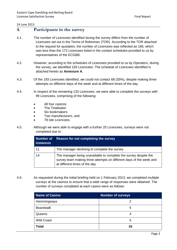#### <span id="page-6-0"></span>**4. Participants in the survey**

- 4.1. The number of Licencees identified during the survey differs from the number of Licencees set out in the Terms of Referenec (TOR). According to the TOR attached to the request for quotation, the number of Licencees was reflected as 166, which was less than the 172 Licencees listed in the contact schedules provided to us by representatives of the ECGBB.
- 4.2. However, according to the schedules of Licencees provided to us by Operators, during the survey, we identified 193 Licencees. The schedule of Licencees identified is attached hereto as **Annexure A**.
- 4.3. Of the 193 Licencees identified, we could not contact 68 (35%), despite making three attempts on different days of the week and at different times of the day.
- 4.4. In respect of the remaining 133 Licencees, we were able to complete the surveys with 99 Licencees, comprising of the following:
	- All four casinos
	- The Totalisator
	- Six bookmakers
	- Two manufacturers, and
	- 78 site Licencees.
- 4.5. Although we were able to engage with a further 25 Licencees, surveys were not completed due to :

| <b>Number of</b><br><b>instances</b> | Reason for not completing the survey                                                                                                                                     |
|--------------------------------------|--------------------------------------------------------------------------------------------------------------------------------------------------------------------------|
| 11                                   | The manager declining to complete the survey                                                                                                                             |
| 14                                   | The manager being unavailable to complete the survey despite the<br>survey team making three attempts on different days of the week and<br>at different times of the day |

4.6. As requested during the initial briefing held on 1 February 2013, we completed multiple surveys at the casinos to ensure that a wide range of responses were obtained. The number of surveys completed at each casino were as follows:

| <b>Name of Casino</b> | <b>Number of surveys</b> |
|-----------------------|--------------------------|
| Hemmingways           |                          |
| <b>Boardwalk</b>      | 5                        |
| Queens                |                          |
| <b>Wild Coast</b>     | 5                        |
| <b>Total</b>          | 16                       |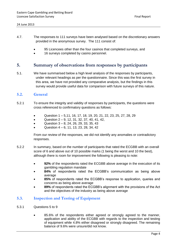- 4.7. The responses to 111 surveys have been analysed based on the discretionary answers provided in the anonymous survey. The 111 consist of:
	- 95 Licencees other than the four casinos that completed surveys, and
	- 16 surveys completed by casino personnel.

#### <span id="page-7-0"></span>**5. Summary of observations from responses by participants**

5.1. We have summarised below a high level analysis of the responses by participants, under relevant headings as per the questionnaire. Since this was the first survey in this area, we have not provided any comparative analysis, but the findings in this survey would provide useful data for comparison with future surveys of this nature.

#### **5.2. General**

- 5.2.1 To ensure the integrity and validity of responses by participants, the questions were cross referenced to confirmatory questions as follows:
	- Question 1 5,11, 16, 17, 18, 19, 20, 21, 22, 23, 25, 27, 28, 29
	- Question  $2 9$ , 12, 31, 32, 37, 40, 41, 42,
	- Question 3 8, 24, 26, 29, 33, 35, 43
	- Question 4 6, 11, 13, 23, 28, 34, 42

From our review of the responses, we did not identify any anomalies or contradictory responses.

- 5.2.2 In summary, based on the number of participants that rated the ECGBB with an overall score of 6 and above out of 10 possible marks (1 being the worst and 10 the best), although there is room for improvement the following is pleasing to note:
	- **92%** of the respondents rated the ECGBB above average in the execution of its gambling regulation mandate
	- **84%** of respondents rated the ECGBB's communication as being above average
	- **85%** of respondents rated the ECGBB's response to application, queries and concerns as being above average
	- **89%** of respondents rated the ECGBB's alignment with the provisions of the Act and the objectives of the industry as being above average

#### **5.3. Inspection and Testing of Equipment**

- 5.3.1 Questions 5 to 9
	- 85.6% of the respondents either agreed or strongly agreed to the manner, application and ability of the ECGBB with regards to the inspection and testing of equipment while 4.8% either disagreed or strongly disagreed. The remaining balance of 9.6% were unsure/did not know.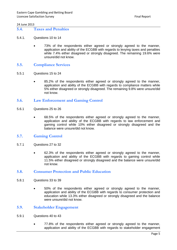- **5.4. Taxes and Penalties**
- 5.4.1. Questions 10 to 14
	- 73% of the respondents either agreed or strongly agreed to the manner, application and ability of the ECGBB with regards to levying taxes and penalties while 7.4% either disagreed or strongly disagreed. The remaining 19.6% were unsure/did not know.
- **5.5. Compliance Services**
- 5.5.1 Questions 15 to 24
	- 85.2% of the respondents either agreed or strongly agreed to the manner, application and ability of the ECGBB with regards to compliance matters while 5% either disagreed or strongly disagreed. The remaining 9.8% were unsure/did not know.

#### **5.6. Law Enforcement and Gaming Control**

- 5.6.1 Questions 25 to 26
	- 68.5% of the respondents either agreed or strongly agreed to the manner, application and ability of the ECGBB with regards to law enforcement and gaming control while 10% either disagreed or strongly disagreed and the balance were unsure/did not know.

#### **5.7. Gaming Control**

- 5.7.1 Questions 27 to 32
	- 62.3% of the respondents either agreed or strongly agreed to the manner, application and ability of the ECGBB with regards to gaming control while 11.5% either disagreed or strongly disagreed and the balance were unsure/did not know.

#### **5.8. Consumer Protection and Public Education**

- 5.8.1 Questions 33 to 39
	- 50% of the respondents either agreed or strongly agreed to the manner, application and ability of the ECGBB with regards to consumer protection and education while 13.3% either disagreed or strongly disagreed and the balance were unsure/did not know.

#### **5.9. Stakeholder Engagement**

- 5.9.1 Questions 40 to 43
	- 77.8% of the respondents either agreed or strongly agreed to the manner, application and ability of the ECGBB with regards to stakeholder engagement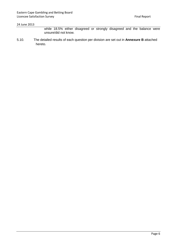while 18.5% either disagreed or strongly disagreed and the balance were unsure/did not know.

5.10. The detailed results of each question per division are set out in **Annexure B** attached hereto.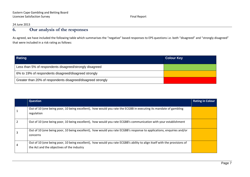## **6. Our analysis of the responses**

As agreed, we have included the following table which summarises the "negative" based responses to EPS questions i.e. both "disagreed" and "strongly disagreed" that were included in a risk rating as follows:

| Rating                                                       | <b>Colour Key</b> |
|--------------------------------------------------------------|-------------------|
| Less than 5% of respondents disagreed/strongly disagreed     |                   |
| 6% to 19% of respondents disagreed/disagreed strongly        |                   |
| Greater than 20% of respondents disagreed/disagreed strongly |                   |

<span id="page-10-0"></span>

|   | <b>Question</b>                                                                                                                                                         | <b>Rating in Colour</b> |
|---|-------------------------------------------------------------------------------------------------------------------------------------------------------------------------|-------------------------|
|   | Out of 10 (one being poor, 10 being excellent), how would you rate the ECGBB in executing its mandate of gambling<br>regulation                                         |                         |
|   | Out of 10 (one being poor, 10 being excellent), how would you rate ECGBB's communication with your establishment                                                        |                         |
| 3 | Out of 10 (one being poor, 10 being excellent), how would you rate ECGBB's response to applications, enquiries and/or<br>concerns                                       |                         |
|   | Out of 10 (one being poor, 10 being excellent), how would you rate ECGBB's ability to align itself with the provisions of<br>the Act and the objectives of the industry |                         |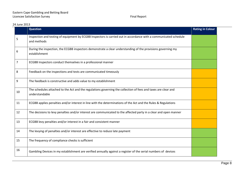|    | <b>Question</b>                                                                                                                  | <b>Rating in Colour</b> |
|----|----------------------------------------------------------------------------------------------------------------------------------|-------------------------|
| 5  | Inspection and testing of equipment by ECGBB Inspectors is carried out in accordance with a communicated schedule<br>and methods |                         |
| 6  | During the inspection, the ECGBB inspectors demonstrate a clear understanding of the provisions governing my<br>establishment    |                         |
| 7  | ECGBB Inspectors conduct themselves in a professional manner                                                                     |                         |
| 8  | Feedback on the inspections and tests are communicated timeously                                                                 |                         |
| 9  | The feedback is constructive and adds value to my establishment                                                                  |                         |
| 10 | The schedules attached to the Act and the regulations governing the collection of fees and taxes are clear and<br>understandable |                         |
| 11 | ECGBB applies penalties and/or interest in line with the determinations of the Act and the Rules & Regulations                   |                         |
| 12 | The decisions to levy penalties and/or interest are communicated to the affected party in a clear and open manner                |                         |
| 13 | ECGBB levy penalties and/or interest in a fair and consistent manner                                                             |                         |
| 14 | The levying of penalties and/or interest are effective to reduce late payment                                                    |                         |
| 15 | The frequency of compliance checks is sufficient                                                                                 |                         |
| 16 | Gambling Devices in my establishment are verified annually against a register of the serial numbers of devices                   |                         |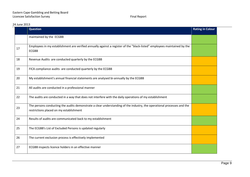|  |  | 24 June 2013 |
|--|--|--------------|
|--|--|--------------|

|    | <b>Question</b>                                                                                                                                                   | <b>Rating in Colour</b> |
|----|-------------------------------------------------------------------------------------------------------------------------------------------------------------------|-------------------------|
|    | maintained by the ECGBB                                                                                                                                           |                         |
| 17 | Employees in my establishment are verified annually against a register of the "black-listed" employees maintained by the<br><b>ECGBB</b>                          |                         |
| 18 | Revenue Audits are conducted quarterly by the ECGBB                                                                                                               |                         |
| 19 | FICA compliance audits are conducted quarterly by the ECGBB                                                                                                       |                         |
| 20 | My establishment's annual financial statements are analysed bi-annually by the ECGBB                                                                              |                         |
| 21 | All audits are conducted in a professional manner                                                                                                                 |                         |
| 22 | The audits are conducted in a way that does not interfere with the daily operations of my establishment                                                           |                         |
| 23 | The persons conducting the audits demonstrate a clear understanding of the industry, the operational processes and the<br>restrictions placed on my establishment |                         |
| 24 | Results of audits are communicated back to my establishment                                                                                                       |                         |
| 25 | The ECGBB's List of Excluded Persons is updated regularly                                                                                                         |                         |
| 26 | The current exclusion process is effectively implemented                                                                                                          |                         |
| 27 | ECGBB inspects licence holders in an effective manner                                                                                                             |                         |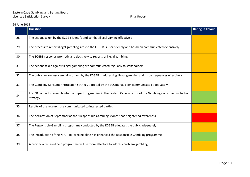| 24 June 2013 |    |                                            |
|--------------|----|--------------------------------------------|
|              |    | <b>Question</b>                            |
|              | 28 | The actions taken by the ECGBB identify    |
|              | 29 | The process to report illegal gambling sit |

|    | <b>Question</b>                                                                                                                  | <b>Rating in Colour</b> |
|----|----------------------------------------------------------------------------------------------------------------------------------|-------------------------|
| 28 | The actions taken by the ECGBB identify and combat illegal gaming effectively                                                    |                         |
| 29 | The process to report illegal gambling sites to the ECGBB is user-friendly and has been communicated extensively                 |                         |
| 30 | The ECGBB responds promptly and decisively to reports of illegal gambling                                                        |                         |
| 31 | The actions taken against illegal gambling are communicated regularly to stakeholders                                            |                         |
| 32 | The public awareness campaign driven by the ECGBB is addressing illegal gambling and its consequences effectively                |                         |
| 33 | The Gambling Consumer Protection Strategy adopted by the ECGBB has been communicated adequately                                  |                         |
| 34 | ECGBB conducts research into the impact of gambling in the Eastern Cape in terms of the Gambling Consumer Protection<br>Strategy |                         |
| 35 | Results of the research are communicated to interested parties                                                                   |                         |
| 36 | The declaration of September as the "Responsible Gambling Month" has heightened awareness                                        |                         |
| 37 | The Responsible Gambling programme conducted by the ECGBB educates the public adequately                                         |                         |
| 38 | The introduction of the NRGP toll-free helpline has enhanced the Responsible Gambling programme                                  |                         |
| 39 | A provincially-based help programme will be more effective to address problem gambling                                           |                         |
|    |                                                                                                                                  |                         |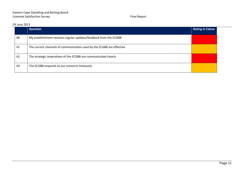|    | <b>Question</b>                                                       | <b>Rating in Colour</b> |
|----|-----------------------------------------------------------------------|-------------------------|
| 40 | My establishment receives regular updates/feedback from the ECGBB     |                         |
| 41 | The current channels of communication used by the ECGBB are effective |                         |
| 42 | The strategic imperatives of the ECGBB are communicated clearly       |                         |
| 43 | The ECGBB responds to our concerns timeously                          |                         |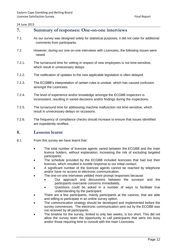<span id="page-15-0"></span>

| 7.     | <b>Summary of responses: One-on-one interviews</b>                                                                                                              |
|--------|-----------------------------------------------------------------------------------------------------------------------------------------------------------------|
| 7.1.   | As our survey was designed solely for statistical purposes, it did not cater for additional<br>comments from participants.                                      |
| 7.2.   | However, during our one-on-one interviews with Licencees, the following issues were<br>raised:                                                                  |
| 7.2.1. | The turnaround time for vetting in respect of new employees is not time-sensitive,<br>which result in unnecessary delays.                                       |
| 7.2.2. | The notification of updates to the new applicable legislation is often delayed.                                                                                 |
| 7.2.3. | The ECGBB's interpretation of certain rules is unclear, which has caused confusion<br>amongst the Licencees.                                                    |
| 7.2.4. | The level of experience and/or knowledge amongst the ECGBB inspectors is<br>inconsistent, resulting in varied decisions and/or findings during the inspections. |
| 7.2.5. | The turnaround time for addressing machine malfunction not time-sensitive, which<br>result in unnecessary delays on occasions.                                  |
| 7.2.6. | The frequency of compliance checks should increase to ensure that issues identified<br>are expediently rectified.                                               |

#### <span id="page-15-1"></span>**8. Lessons learnt**

- 8.1. From this survey we have learnt that:
	- The total number of licencee agents varied between the ECGBB and the main licence holders, without explanation, increasing the risk of excluding targeted participants;
	- The schedule provided by the ECGBB included licencees that had lost their licences, which resulted in hostile response to our initial contact;
	- A significant number of the licencee agents cannot be reached by telephone and/or have no access to electronic communication.
		- The one-on-one interviews yielded more prompt responses because:
			- Our approach and discussions between the surveyor and the participants overcame concerns immediately,
			- Questions could be asked in a number of ways to facilitate true understanding by the participant.
	- There are a few participants, mainly participants at the casinos, that are able and willing to participate in an online survey option.
	- The communication strategy should be developed and implemented before the survey commences. The electronic communication sent out by the ECGBB was not received by all participants.
	- The timeline for the survey, limited to only two weeks, is too short. This did not allow the survey team the opportunity to call participants that were too busy and/or those requiring time to consult with the main Licencees.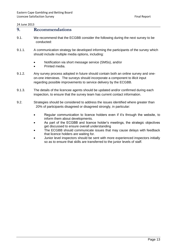#### <span id="page-16-0"></span>**9. Recommendations**

- 9.1. We recommend that the ECGBB consider the following during the next survey to be conducted:
- 9.1.1. A communication strategy be developed informing the participants of the survey which should include multiple media options, including:
	- Notification via short message service (SMSs), and/or
	- Printed media.
- 9.1.2. Any survey process adopted in future should contain both an online survey and oneon-one interviews. The surveys should incorporate a component to illicit input regarding possible improvements to service delivery by the ECGBB.
- 9.1.3. The details of the licencee agents should be updated and/or confirmed during each inspection, to ensure that the survey team has current contact information.
- 9.2. Strategies should be considered to address the issues identified where greater than 20% of participants disagreed or disagreed strongly, in particular:
	- Regular communication to licence holders even if it's through the website, to inform them about developments.
	- As part of the ECGBB and licence holder's meetings, the strategic objectives get discussed to ensure overall understanding
	- The ECGBB should communicate issues that may cause delays with feedback that licence holders are waiting for.
	- Junior level inspectors should be sent with more experienced inspectors initially so as to ensure that skills are transferred to the junior levels of staff.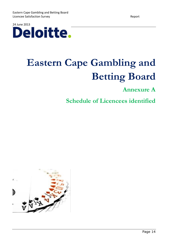

# **Eastern Cape Gambling and Betting Board**

## **Annexure A**

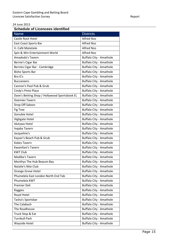| <b>Name</b>                                   | <b>Districts</b>               |
|-----------------------------------------------|--------------------------------|
| Castle Rock Hotel                             | <b>Alfred Nzo</b>              |
| East Coast Sports Bar                         | <b>Alfred Nzo</b>              |
| V- Café Matatiele                             | <b>Alfred Nzo</b>              |
| Spin & Win Entertainment World                | <b>Alfred Nzo</b>              |
| Amadoda's Tavern                              | <b>Buffalo City - Amathole</b> |
| Bernie's Cigar Bar                            | <b>Buffalo City - Amathole</b> |
| Bernies Cigar Bar - Cambridge                 | <b>Buffalo City - Amathole</b> |
| <b>Bisho Sports Bar</b>                       | <b>Buffalo City - Amathole</b> |
| Bra G's                                       | <b>Buffalo City - Amathole</b> |
| <b>Buccaneers</b>                             | <b>Buffalo City - Amathole</b> |
| Cannon's Pool Pub & Grub                      | <b>Buffalo City - Amathole</b> |
| Cindy's Pinto Place                           | <b>Buffalo City - Amathole</b> |
| Dave's Betting Shop / Hollywood Sportsbook EL | <b>Buffalo City - Amathole</b> |
| Doemies Tavern                                | <b>Buffalo City - Amathole</b> |
| Drop Off Saloon                               | <b>Buffalo City - Amathole</b> |
| <b>Fig Tree</b>                               | <b>Buffalo City - Amathole</b> |
| Gonubie Hotel                                 | <b>Buffalo City - Amathole</b> |
| Highgate Hotel                                | <b>Buffalo City - Amathole</b> |
| Idutywa Hotel                                 | <b>Buffalo City - Amathole</b> |
| Inqaba Tavern                                 | <b>Buffalo City - Amathole</b> |
| Jacqueline's                                  | <b>Buffalo City - Amathole</b> |
| Kayser's Beach Pub & Grub                     | <b>Buffalo City - Amathole</b> |
| <b>Kokes Tavern</b>                           | <b>Buffalo City - Amathole</b> |
| Kwamfani's Tavern                             | <b>Buffalo City - Amathole</b> |
| <b>KWT Club</b>                               | <b>Buffalo City - Amathole</b> |
| Madiba's Tavern                               | <b>Buffalo City - Amathole</b> |
| Monthys The Hub Beacon Bay                    | <b>Buffalo City - Amathole</b> |
| Natalie's Nite Club                           | <b>Buffalo City - Amathole</b> |
| Orange Grove Hotel                            | <b>Buffalo City - Amathole</b> |
| Phumelela East London North End Tab           | <b>Buffalo City - Amathole</b> |
| Phumelela KWT                                 | <b>Buffalo City - Amathole</b> |
| Premier Deli                                  | <b>Buffalo City - Amathole</b> |
| Raggies                                       | <b>Buffalo City - Amathole</b> |
| Royal Hotel                                   | <b>Buffalo City - Amathole</b> |
| Tasha's Sportsbar                             | <b>Buffalo City - Amathole</b> |
| The Calabash                                  | <b>Buffalo City - Amathole</b> |
| The Roadhouse                                 | <b>Buffalo City - Amathole</b> |
| Truck Stop & Eat                              | <b>Buffalo City - Amathole</b> |
| <b>Turnbull Park</b>                          | <b>Buffalo City - Amathole</b> |
| Wayside Hotel                                 | <b>Buffalo City - Amathole</b> |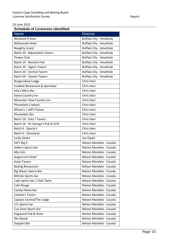| <b>Name</b>                         | <b>Districts</b>               |
|-------------------------------------|--------------------------------|
| <b>Wesbank Protea</b>               | <b>Buffalo City - Amathole</b> |
| Willowvale Hotel                    | <b>Buffalo City - Amathole</b> |
| Naughty Lizard                      | <b>Buffalo City - Amathole</b> |
| Batch 20 - Mpumelelo Tavern         | <b>Buffalo City - Amathole</b> |
| <b>Pirates Club</b>                 | <b>Buffalo City - Amathole</b> |
| Batch 19 - Mzantsi Pub              | <b>Buffalo City - Amathole</b> |
| Batch 19 - Vgee's Tavern            | <b>Buffalo City - Amathole</b> |
| Batch 20 - Central Tavern           | Buffalo City - Amathole        |
| Batch 20 - Ckooliz Tavern           | <b>Buffalo City - Amathole</b> |
| <b>Burgersdorp Lodge</b>            | Chris Hani                     |
| Cradock Restaurant & Sportsbar      | Chris Hani                     |
| Jola's Mens Bar                     | Chris Hani                     |
| Karoo Country Inn                   | Chris Hani                     |
| Mountain View Country Inn           | Chris Hani                     |
| Phumelela Cradock                   | Chris Hani                     |
| Wilson's / Jeff's Palace            | Chris Hani                     |
| Phumelela Qtn                       | Chris Hani                     |
| Batch 19 - Zola 7 Tavern            | Chris Hani                     |
| Batch 16 - Sir George's Pub & Grill | Chris Hani                     |
| Batch 6 - Sporty's                  | Chris Hani                     |
| Batch 6 - Zamaland                  | Chris Hani                     |
| Lucky Seven                         | Joe Gqabi                      |
| 24/7 Big 5                          | Nelson Mandela - Cacadu        |
| Aiden's Sports bar                  | Nelson Mandela - Cacadu        |
| Ally Cats                           | Nelson Mandela - Cacadu        |
| Angora Inn Hotel                    | Nelson Mandela - Cacadu        |
| <b>Asian Tavern</b>                 | Nelson Mandela - Cacadu        |
| <b>Beijing Restaurant</b>           | Nelson Mandela - Cacadu        |
| <b>Big Waves Sports Bar</b>         | Nelson Mandela - Cacadu        |
| <b>Billricks Sports bar</b>         | Nelson Mandela - Cacadu        |
| Cads Sports bar / Club Twins        | Nelson Mandela - Cacadu        |
| Café Rouge                          | Nelson Mandela - Cacadu        |
| Candys Resto Bar                    | Nelson Mandela - Cacadu        |
| Charlee's Tavern                    | Nelson Mandela - Cacadu        |
| Captain Central/The Judge           | Nelson Mandela - Cacadu        |
| CJ's Sports bar                     | Nelson Mandela - Cacadu        |
| Cue Zone Sports bar                 | Nelson Mandela - Cacadu        |
| Dagwood Pub & Diner                 | Nelson Mandela - Cacadu        |
| Die Opstal                          | Nelson Mandela - Cacadu        |
| Doppies Bar                         | Nelson Mandela - Cacadu        |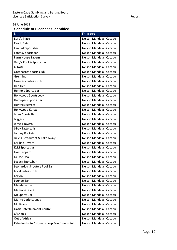| <b>Name</b>                               | <b>Districts</b>        |
|-------------------------------------------|-------------------------|
| Euro's Place                              | Nelson Mandela - Cacadu |
| <b>Exotic Bets</b>                        | Nelson Mandela - Cacadu |
| Fanpark Sportsbar                         | Nelson Mandela - Cacadu |
| <b>Fantasy Sportsbar</b>                  | Nelson Mandela - Cacadu |
| Farm House Tavern                         | Nelson Mandela - Cacadu |
| Gary's Pool & Sports bar                  | Nelson Mandela - Cacadu |
| G-Note                                    | Nelson Mandela - Cacadu |
| Greenacres Sports club                    | Nelson Mandela - Cacadu |
| Gremlins                                  | Nelson Mandela - Cacadu |
| Grunters Pub & Grub                       | Nelson Mandela - Cacadu |
| Hen Den                                   | Nelson Mandela - Cacadu |
| Henno's Sports bar                        | Nelson Mandela - Cacadu |
| Hollywood Sportsbook                      | Nelson Mandela - Cacadu |
| Humepark Sports bar                       | Nelson Mandela - Cacadu |
| <b>Hunters Retreat</b>                    | Nelson Mandela - Cacadu |
| Hollywood Korsten                         | Nelson Mandela - Cacadu |
| Jades Sports Bar                          | Nelson Mandela - Cacadu |
| Jaggers                                   | Nelson Mandela - Cacadu |
| Jame's Tavern                             | Nelson Mandela - Cacadu |
| J-Bay Tattersalls                         | Nelson Mandela - Cacadu |
| Johnny Rockets                            | Nelson Mandela - Cacadu |
| Julie's Restaurant & Take Aways           | Nelson Mandela - Cacadu |
| Kariba's Tavern                           | Nelson Mandela - Cacadu |
| <b>KLM Sports bar</b>                     | Nelson Mandela - Cacadu |
| Lazy Leopard                              | Nelson Mandela - Cacadu |
| La Dee Daa                                | Nelson Mandela - Cacadu |
| Legacy Sportsbar                          | Nelson Mandela - Cacadu |
| Leonardo's Shooters Pool Bar              | Nelson Mandela - Cacadu |
| Local Pub & Grub                          | Nelson Mandela - Cacadu |
| Loxion                                    | Nelson Mandela - Cacadu |
| Lounge Bar                                | Nelson Mandela - Cacadu |
| Mandarin Inn                              | Nelson Mandela - Cacadu |
| Memories Café                             | Nelson Mandela - Cacadu |
| <b>MJ Sports Bar</b>                      | Nelson Mandela - Cacadu |
| Monte Carlo Lounge                        | Nelson Mandela - Cacadu |
| <b>Mulligans</b>                          | Nelson Mandela - Cacadu |
| <b>Oasis Entertainment Centre</b>         | Nelson Mandela - Cacadu |
| O'Brian's                                 | Nelson Mandela - Cacadu |
| Out of Africa                             | Nelson Mandela - Cacadu |
| Palm Inn Hotel/ Humansdorp Boutique Hotel | Nelson Mandela - Cacadu |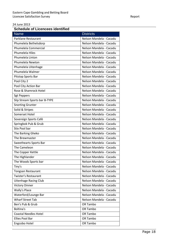| <b>Name</b>                   | <b>Districts</b>        |
|-------------------------------|-------------------------|
| Parklane Restaurant           | Nelson Mandela - Cacadu |
| Phumelela Bethelsdorp         | Nelson Mandela - Cacadu |
| Phumelela Commercial          | Nelson Mandela - Cacadu |
| Phumelela Hiles               | Nelson Mandela - Cacadu |
| Phumelela Linton              | Nelson Mandela - Cacadu |
| Phumelela Newton              | Nelson Mandela - Cacadu |
| Phumelela Uitenhage           | Nelson Mandela - Cacadu |
| Phumelela Walmer              | Nelson Mandela - Cacadu |
| Pitstop Sports Bar            | Nelson Mandela - Cacadu |
| Pool City 2                   | Nelson Mandela - Cacadu |
| Pool City Action Bar          | Nelson Mandela - Cacadu |
| Rose & Shamrock Hotel         | Nelson Mandela - Cacadu |
| <b>Sgt Peppers</b>            | Nelson Mandela - Cacadu |
| Slip Stream Sports bar B-TYPE | Nelson Mandela - Cacadu |
| <b>Snorting Grunter</b>       | Nelson Mandela - Cacadu |
| Solid & Stripes               | Nelson Mandela - Cacadu |
| Somerset Hotel                | Nelson Mandela - Cacadu |
| Sovereign Sports Café         | Nelson Mandela - Cacadu |
| Springbok Pub & Grub          | Nelson Mandela - Cacadu |
| <b>Stix Pool bar</b>          | Nelson Mandela - Cacadu |
| The Barking Gheko             | Nelson Mandela - Cacadu |
| The Brewmaster                | Nelson Mandela - Cacadu |
| Sweethearts Sports Bar        | Nelson Mandela - Cacadu |
| The Cameleon                  | Nelson Mandela - Cacadu |
| The Copper Kettle             | Nelson Mandela - Cacadu |
| The Highlander                | Nelson Mandela - Cacadu |
| The Woods Sports bar          | Nelson Mandela - Cacadu |
| Tiny's                        | Nelson Mandela - Cacadu |
| <b>Tongsan Restaurant</b>     | Nelson Mandela - Cacadu |
| Twister's Restaurant          | Nelson Mandela - Cacadu |
| <b>Uitenhage Racing Club</b>  | Nelson Mandela - Cacadu |
| <b>Victory Dinner</b>         | Nelson Mandela - Cacadu |
| Wally's Place                 | Nelson Mandela - Cacadu |
| Waterford/Lounge Bar          | Nelson Mandela - Cacadu |
| <b>Wharf Street Tab</b>       | Nelson Mandela - Cacadu |
| Ben's Pub & Grub              | OR Tambo                |
| <b>Boltina's</b>              | OR Tambo                |
| <b>Coastal Needles Hotel</b>  | OR Tambo                |
| <b>Ellies Pool Bar</b>        | OR Tambo                |
| Engcobo Hotel                 | OR Tambo                |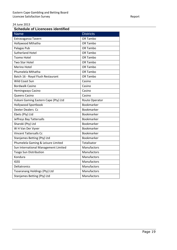| <b>Name</b>                          | <b>Districts</b>      |
|--------------------------------------|-----------------------|
| Extravaganza Tavern                  | OR Tambo              |
| Hollywood Mthatha                    | OR Tambo              |
| Palagas Pub                          | OR Tambo              |
| <b>Sutherland Hotel</b>              | OR Tambo              |
| <b>Tsomo Hotel</b>                   | OR Tambo              |
| <b>Two Star Hotel</b>                | OR Tambo              |
| Merino Hotel                         | OR Tambo              |
| Phumelela Mthatha                    | OR Tambo              |
| Batch 16 - Royal Flush Restaurant    | OR Tambo              |
| Wild Coast Sun                       | Casino                |
| <b>Bordwalk Casino</b>               | Casino                |
| Hemingways Casino                    | Casino                |
| <b>Queens Casino</b>                 | Casino                |
| Vukani Gaming Eastern Cape (Pty) Ltd | <b>Route Operator</b> |
| <b>Hollywood Sportbook</b>           | Bookmarker            |
| Dexter Dealers Cc                    | Bookmarker            |
| Ebets (Pty) Ltd                      | Bookmarker            |
| Jeffreys Bay Tattersalls             | <b>Bookmarker</b>     |
| Sharoki (Pty) Ltd                    | Bookmarker            |
| W H Van Der Vyver                    | Bookmarker            |
| <b>Vincent Tattersalls Cc</b>        | <b>Bookmarker</b>     |
| <b>Stanjames Betting (Pty) Ltd</b>   | Bookmarker            |
| Phumelela Gaming & Leisure Limited   | Totalisator           |
| Sun International Management Limited | Manufactors           |
| <b>Tsogo Sun Distribution</b>        | Manufactors           |
| Kondura                              | Manufactors           |
| <b>IGSS</b>                          | Manufactors           |
| Deltatronics                         | Manufactors           |
| Tsoaranang Holdings (Pty) Ltd        | Manufactors           |
| Stanjames Betting (Pty) Ltd          | Manufactors           |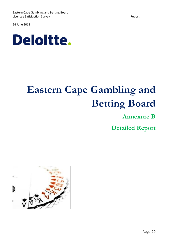

# **Eastern Cape Gambling and Betting Board**

**Annexure B**

**Detailed Report**

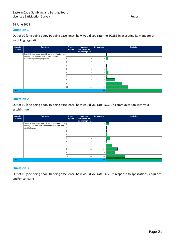#### **Question 1**

Out of 10 (one being poor, 10 being excellent), how would you rate the ECGBB in executing its mandate of gambling regulation

| Question<br>number | Question                                                                                             | Answer<br>option | Number of<br>responses per<br>answer option | Percentage     | Depiction |
|--------------------|------------------------------------------------------------------------------------------------------|------------------|---------------------------------------------|----------------|-----------|
|                    | 1 Out of 10 (one being poor, 10 being excellent), how 1<br>would you rate the ECGBB in executing its |                  |                                             |                |           |
|                    | mandate of gambling regulation.                                                                      |                  |                                             | 4 <sub>1</sub> |           |
|                    |                                                                                                      |                  |                                             |                |           |
|                    |                                                                                                      |                  |                                             |                |           |
|                    |                                                                                                      |                  |                                             | 3 <sup>1</sup> |           |
|                    |                                                                                                      |                  |                                             | 5 <sup>1</sup> |           |
|                    |                                                                                                      |                  |                                             | 3              |           |
|                    |                                                                                                      |                  | 18                                          | 16             |           |
|                    |                                                                                                      |                  | 32                                          | 29             |           |
|                    |                                                                                                      | 10               | 44                                          | 40             |           |
| Total              |                                                                                                      | 111              | 100                                         |                |           |

#### **Question 2**

Out of 10 (one being poor, 10 being excellent), how would you rate ECGBB's communication with your establishment

| Question<br>number | Question                                                                                                  | Answer<br>option | Number of<br>responses per | Percentage   | <b>Depiction</b> |
|--------------------|-----------------------------------------------------------------------------------------------------------|------------------|----------------------------|--------------|------------------|
|                    |                                                                                                           |                  | answer option              |              |                  |
|                    | 2 Out of 10 (one being poor, 10 being excellent), how 1<br>would you rate ECGBB's communication with your |                  |                            | 5            |                  |
|                    | establishment.                                                                                            |                  |                            |              |                  |
|                    |                                                                                                           |                  |                            |              |                  |
|                    |                                                                                                           |                  |                            | $2\parallel$ |                  |
|                    |                                                                                                           |                  |                            | 71           |                  |
|                    |                                                                                                           |                  |                            |              |                  |
|                    |                                                                                                           |                  | 12                         | 11           |                  |
|                    |                                                                                                           |                  | 23                         | 21           |                  |
|                    |                                                                                                           |                  | 18                         | 16           |                  |
|                    |                                                                                                           | 10               | 38                         | 34           |                  |
| Total              |                                                                                                           |                  | 111                        | 100          |                  |

#### **Question 3**

Out of 10 (one being poor, 10 being excellent), how would you rate ECGBB's response to applications, enquiries and/or concerns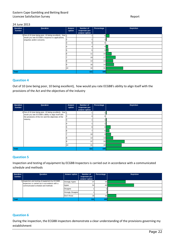| Question<br>number | Question                                                                       | Answer<br>option | Number of<br>responses per<br>answer option | Percentage       | Depiction |
|--------------------|--------------------------------------------------------------------------------|------------------|---------------------------------------------|------------------|-----------|
|                    | 3 Out of 10 (one being poor, 10 being excellent), how 1                        |                  |                                             | 6                |           |
|                    | would you rate ECGBB's response to applications,<br>enquiries and/or concerns. | $\sim$           |                                             |                  |           |
|                    |                                                                                |                  |                                             | 0                |           |
|                    |                                                                                |                  |                                             | 4 <sub>  </sub>  |           |
|                    |                                                                                |                  |                                             | 5 <sub>1</sub>   |           |
|                    |                                                                                |                  | 11                                          | 10 <sup>1</sup>  |           |
|                    |                                                                                |                  | 19                                          | 17               |           |
|                    |                                                                                |                  | 14                                          | 13               |           |
|                    |                                                                                |                  | 16                                          | 14               |           |
|                    |                                                                                | 10               | 34                                          | 31               |           |
| <b>Total</b>       |                                                                                |                  | 111                                         | 100 <sub>l</sub> |           |

#### **Question 4**

Out of 10 (one being poor, 10 being excellent), how would you rate ECGBB's ability to align itself with the provisions of the Act and the objectives of the industry

| Question<br>number | Question                                                                                                       | Answer<br>option | Number of<br>responses per<br>answer option | Percentage     | <b>Depiction</b> |
|--------------------|----------------------------------------------------------------------------------------------------------------|------------------|---------------------------------------------|----------------|------------------|
|                    | 4 Out of 10 (one being poor, 10 being excellent), how 1<br>would you rate ECGBB's ability to align itself with |                  |                                             |                |                  |
|                    | the provisions of the Act and the objectives of the                                                            |                  |                                             |                |                  |
|                    | industry.                                                                                                      |                  |                                             |                |                  |
|                    |                                                                                                                |                  |                                             |                |                  |
|                    |                                                                                                                |                  |                                             | 8 <sup>1</sup> |                  |
|                    |                                                                                                                |                  |                                             | $6\vert$       |                  |
|                    |                                                                                                                |                  | 10                                          | 9 I            |                  |
|                    |                                                                                                                |                  | 14                                          | 13             |                  |
|                    |                                                                                                                |                  | 37                                          | 33             |                  |
|                    |                                                                                                                | 10               | 31                                          | 28             |                  |
| Total              |                                                                                                                | 111              | 100                                         |                |                  |

#### **Question 5**

Inspection and testing of equipment by ECGBB Inspectors is carried out in accordance with a communicated schedule and methods

| Question<br>number | Question                                                                                         | Answer option            | Number of<br>responses per<br>answer option | Percentage      | <b>Depiction</b> |
|--------------------|--------------------------------------------------------------------------------------------------|--------------------------|---------------------------------------------|-----------------|------------------|
|                    | 5 Inspection and testing of equipment by ECGBB<br>Inspectors is carried out in accordance with a | <b>Strongly Agree</b>    | 37                                          | 33              |                  |
|                    | communicated schedule and methods.                                                               | Agree                    | 54                                          | 49              |                  |
|                    |                                                                                                  | <b>Disagree</b>          |                                             |                 |                  |
|                    |                                                                                                  | <b>Strongly Disagree</b> |                                             |                 |                  |
|                    |                                                                                                  | Don't Know               | 18                                          | 16 <sup>1</sup> |                  |
| Total              |                                                                                                  |                          | 1111                                        | 100             |                  |

#### **Question 6**

During the inspection, the ECGBB inspectors demonstrate a clear understanding of the provisions governing my establishment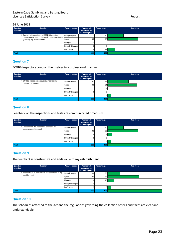| Question<br>number | Question                                                                                                                            | Answer option         | Number of<br>responses per<br>answer option | Percentage | <b>Depiction</b> |
|--------------------|-------------------------------------------------------------------------------------------------------------------------------------|-----------------------|---------------------------------------------|------------|------------------|
|                    | 6 During the inspection, the ECGBB inspectors<br>demonstrate a clear understanding of the provisions<br>governing my establishment. | <b>Strongly Agree</b> | 33                                          | 30         |                  |
|                    |                                                                                                                                     | Agree                 | 63                                          | 57         |                  |
|                    |                                                                                                                                     | <b>Disagree</b>       |                                             |            |                  |
|                    |                                                                                                                                     | Strongly Disagree     |                                             |            |                  |
|                    |                                                                                                                                     | Don't Know            | 15 <sup>1</sup>                             | 14         |                  |
| <b>Total</b>       |                                                                                                                                     |                       | 111                                         | 100        |                  |

#### **Question 7**

ECGBB Inspectors conduct themselves in a professional manner

| Question<br>number | Question                                   | Answer option            | Number of<br>responses per<br>answer option | Percentage | <b>Depiction</b> |
|--------------------|--------------------------------------------|--------------------------|---------------------------------------------|------------|------------------|
|                    | 7 ECGBB Inspectors conduct themselves in a | <b>Strongly Agree</b>    | 43                                          | 39         |                  |
|                    | professional manner.                       | Agree                    | 60                                          | 54         |                  |
|                    |                                            | Disagree                 |                                             |            |                  |
|                    |                                            | <b>Strongly Disagree</b> |                                             |            |                  |
|                    |                                            | Don't Know               |                                             |            |                  |
| Total              |                                            |                          | 1111                                        | 100        |                  |

#### **Question 8**

Feedback on the inspections and tests are communicated timeously

| Question<br>number | Question                                                               | Answer option            | Number of<br>responses per<br>answer option | Percentage | <b>Depiction</b> |
|--------------------|------------------------------------------------------------------------|--------------------------|---------------------------------------------|------------|------------------|
|                    | 8 Feedback on the inspections and tests are<br>communicated timeously. | <b>Strongly Agree</b>    | 33                                          | 30         |                  |
|                    |                                                                        | Agree                    | 62                                          | 56         |                  |
|                    |                                                                        | Disagree                 |                                             |            |                  |
|                    |                                                                        | <b>Strongly Disagree</b> |                                             |            |                  |
|                    |                                                                        | Don't Know               |                                             |            |                  |
| Total              |                                                                        |                          | 111                                         | 100        |                  |

#### **Question 9**

The feedback is constructive and adds value to my establishment

| Question<br>number | Question                                                              | Answer option            | Number of<br>responses per<br>answer option | Percentage | <b>Depiction</b> |
|--------------------|-----------------------------------------------------------------------|--------------------------|---------------------------------------------|------------|------------------|
|                    | 9 The feedback is constructive and adds value to my<br>establishment. | <b>Strongly Agree</b>    | 26                                          | 23         |                  |
|                    |                                                                       | Agree                    | 64                                          | 58         |                  |
|                    |                                                                       | Disagree                 | 14                                          | 13         |                  |
|                    |                                                                       | <b>Strongly Disagree</b> |                                             |            |                  |
|                    |                                                                       | Don't Know               |                                             |            |                  |
| Total              |                                                                       |                          | 111                                         | 100        |                  |

#### **Question 10**

The schedules attached to the Act and the regulations governing the collection of fees and taxes are clear and understandable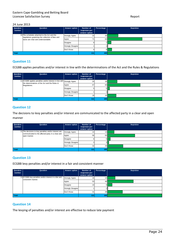| Question<br>number | Question                                                                                         | Answer option            | Number of<br>responses per<br>answer option | Percentage | <b>Depiction</b> |
|--------------------|--------------------------------------------------------------------------------------------------|--------------------------|---------------------------------------------|------------|------------------|
|                    | 10 The schedules attached to the Act and the<br>regulations governing the collection of fees and | <b>Strongly Agree</b>    | 22                                          | <b>20</b>  |                  |
|                    | taxes are clear and understandable.                                                              | Agree                    | 71 <sub>1</sub>                             | 64         |                  |
|                    |                                                                                                  | Disagree                 |                                             |            |                  |
|                    |                                                                                                  | <b>Strongly Disagree</b> |                                             |            |                  |
|                    |                                                                                                  | Don't Know               |                                             |            |                  |
| <b>Total</b>       |                                                                                                  |                          | 111                                         | 100        |                  |

#### **Question 11**

ECGBB applies penalties and/or interest in line with the determinations of the Act and the Rules & Regulations

| Question<br>number | Question                                                                                                                                | Answer option            | Number of<br>responses per<br>answer option | Percentage | <b>Depiction</b> |
|--------------------|-----------------------------------------------------------------------------------------------------------------------------------------|--------------------------|---------------------------------------------|------------|------------------|
|                    | 11 ECGBB applies penalties and/or interest in line with Strongly Agree<br>the determinations of the Act and the Rules &<br>Regulations. |                          | 20                                          | 18         |                  |
|                    |                                                                                                                                         | Agree                    | 67                                          | 60         |                  |
|                    |                                                                                                                                         | Disagree                 |                                             | 51         |                  |
|                    |                                                                                                                                         | <b>Strongly Disagree</b> |                                             |            |                  |
|                    |                                                                                                                                         | Don't Know               | 18                                          | 16         |                  |
| <b>Total</b>       |                                                                                                                                         |                          | 111                                         | 100        |                  |

#### **Question 12**

The decisions to levy penalties and/or interest are communicated to the affected party in a clear and open manner

| Question | Question                                                          | Answer option         | Number of                      | Percentage | <b>Depiction</b> |
|----------|-------------------------------------------------------------------|-----------------------|--------------------------------|------------|------------------|
| number   |                                                                   |                       | responses per<br>answer option |            |                  |
|          | 12 The decisions to levy penalties and/or interest are            | <b>Strongly Agree</b> | 14                             | 131        |                  |
|          | communicated to the affected party in a clear and<br>open manner. | Agree                 | 56                             | 50         |                  |
|          |                                                                   | <b>Disagree</b>       |                                |            |                  |
|          |                                                                   | Strongly Disagree     |                                |            |                  |
|          |                                                                   | Don't Know            | 32                             | 29         |                  |
| Total    |                                                                   |                       | 111                            | 100        |                  |

#### **Question 13**

ECGBB levy penalties and/or interest in a fair and consistent manner

| Question | Question                                                                    | Answer option            | Number of       | Percentage      | <b>Depiction</b> |
|----------|-----------------------------------------------------------------------------|--------------------------|-----------------|-----------------|------------------|
| number   |                                                                             |                          | responses per   |                 |                  |
|          |                                                                             |                          | answer option   |                 |                  |
|          | 13 ECGBB levy penalties and/or interest in a fair and<br>consistent manner. | <b>Strongly Agree</b>    | 16              | 14 <sub>1</sub> |                  |
|          |                                                                             | Agree                    | 53              | 48              |                  |
|          |                                                                             | Disagree                 | 10 <sup>1</sup> |                 |                  |
|          |                                                                             | <b>Strongly Disagree</b> |                 |                 |                  |
|          |                                                                             | Don't Know               | 31              | 28              |                  |
| Total    |                                                                             |                          | 111             | 100             |                  |

#### **Question 14**

The levying of penalties and/or interest are effective to reduce late payment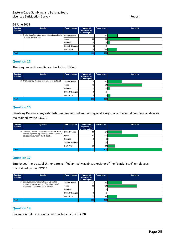| Question<br>number | Question                                                                            | Answer option            | Number of<br>responses per<br>answer option | Percentage | <b>Depiction</b> |
|--------------------|-------------------------------------------------------------------------------------|--------------------------|---------------------------------------------|------------|------------------|
|                    | 14 The lewing of penalties and/or interest are effective<br>to reduce late payment. | <b>Strongly Agree</b>    | 21                                          | 19         |                  |
|                    |                                                                                     | Agree                    | 66                                          | 59         |                  |
|                    |                                                                                     | <b>Disagree</b>          | 5                                           |            |                  |
|                    |                                                                                     | <b>Strongly Disagree</b> | $\Omega$                                    |            |                  |
|                    |                                                                                     | Don't Know               | 19                                          |            |                  |
| <b>Total</b>       |                                                                                     |                          | 111                                         | 100        |                  |

#### **Question 15**

The frequency of compliance checks is sufficient

| Question<br>number | Question                                             | Answer option            | Number of<br>responses per<br>answer option | Percentage | <b>Depiction</b> |
|--------------------|------------------------------------------------------|--------------------------|---------------------------------------------|------------|------------------|
|                    | 15 The frequency of compliance checks is sufficient. | <b>Strongly Agree</b>    | 29                                          | 26         |                  |
|                    |                                                      | Agree                    | 71                                          | 64         |                  |
|                    |                                                      | <b>Disagree</b>          |                                             | 5.         |                  |
|                    |                                                      | <b>Strongly Disagree</b> |                                             |            |                  |
|                    |                                                      | Don't Know               |                                             | 51         |                  |
| Total              |                                                      |                          | 111                                         | 100        |                  |

#### **Question 16**

Gambling Devices in my establishment are verified annually against a register of the serial numbers of devices maintained by the ECGBB

| Question<br>number | Question                                                                                                     | Answer option         | Number of<br>responses per<br>answer option | Percentage | <b>Depiction</b> |
|--------------------|--------------------------------------------------------------------------------------------------------------|-----------------------|---------------------------------------------|------------|------------------|
|                    | 16 Gambling Devices in my establishment are verified<br>annually against a register of the serial numbers of | <b>Strongly Agree</b> | 30 <sup>1</sup>                             | 27         |                  |
|                    | devices maintained by the ECGBB.                                                                             | Agree                 | 62                                          | 56         |                  |
|                    |                                                                                                              | <b>Disagree</b>       |                                             |            |                  |
|                    |                                                                                                              | Strongly Disagree     |                                             |            |                  |
|                    |                                                                                                              | Don't Know            | 16                                          | 141        |                  |
| Total              |                                                                                                              |                       | 111                                         | 100        |                  |

#### **Question 17**

Employees in my establishment are verified annually against a register of the "black-listed" employees maintained by the ECGBB

| Question | Question                                                                                           | Answer option            | Number of     | Percentage      | <b>Depiction</b> |
|----------|----------------------------------------------------------------------------------------------------|--------------------------|---------------|-----------------|------------------|
| number   |                                                                                                    |                          | responses per |                 |                  |
|          |                                                                                                    |                          | answer option |                 |                  |
|          | 17 Employees in my establishment are verified<br>annually against a register of the "black-listed" | <b>Strongly Agree</b>    | 30            | 27              |                  |
|          | employees maintained by the ECGBB.                                                                 | Agree                    | 60            | 54              |                  |
|          |                                                                                                    | Disagree                 |               |                 |                  |
|          |                                                                                                    | <b>Strongly Disagree</b> |               |                 |                  |
|          |                                                                                                    | Don't Know               | 20            | 18 <sup>1</sup> |                  |
| Total    |                                                                                                    |                          | 111           | 100             |                  |

#### **Question 18**

Revenue Audits are conducted quarterly by the ECGBB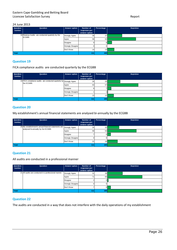| Question<br>number | Question                                                   | Answer option            | Number of<br>responses per<br>answer option | Percentage      | <b>Depiction</b> |
|--------------------|------------------------------------------------------------|--------------------------|---------------------------------------------|-----------------|------------------|
|                    | 18 Revenue Audits are conducted quarterly by the<br>ECGBB. | <b>Strongly Agree</b>    | 30                                          | 27              |                  |
|                    |                                                            | Agree                    | 58                                          | 52              |                  |
|                    |                                                            | <b>Disagree</b>          | 9                                           |                 |                  |
|                    |                                                            | <b>Strongly Disagree</b> | $\Omega$                                    |                 |                  |
|                    |                                                            | Don't Know               | 14                                          | 13 <sub>1</sub> |                  |
| <b>Total</b>       |                                                            |                          | 111                                         | 100             |                  |

#### **Question 19**

FICA compliance audits are conducted quarterly by the ECGBB

| Question<br>number | Question                                                            | Answer option            | Number of<br>responses per<br>answer option | Percentage | <b>Depiction</b> |
|--------------------|---------------------------------------------------------------------|--------------------------|---------------------------------------------|------------|------------------|
|                    | 19 FICA compliance audits are conducted quarterly by Strongly Agree |                          | 26                                          | 23         |                  |
|                    | the ECGBB.                                                          | Agree                    | 63                                          | 57         |                  |
|                    |                                                                     | Disagree                 |                                             |            |                  |
|                    |                                                                     | <b>Strongly Disagree</b> |                                             |            |                  |
|                    |                                                                     | Don't Know               | 13                                          |            |                  |
| Total              |                                                                     | 111                      | 100                                         |            |                  |

#### **Question 20**

My establishment's annual financial statements are analysed bi-annually by the ECGBB

| Question<br>number | Question                                                                                                   | Answer option            | Number of<br>responses per<br>answer option | Percentage | <b>Depiction</b> |
|--------------------|------------------------------------------------------------------------------------------------------------|--------------------------|---------------------------------------------|------------|------------------|
|                    | 20 My establishment's annual financial statements are Strongly Agree<br>analysed bi-annually by the ECGBB. |                          | 24                                          | 22         |                  |
|                    |                                                                                                            | Agree                    | 59                                          | 53         |                  |
|                    |                                                                                                            | Disagree                 |                                             |            |                  |
|                    |                                                                                                            | <b>Strongly Disagree</b> |                                             |            |                  |
|                    |                                                                                                            | Don't Know               | 21                                          | 19         |                  |
| Total              |                                                                                                            |                          | 111                                         | 100        |                  |

#### **Question 21**

All audits are conducted in a professional manner

| Question<br>number | Question                                              | Answer option            | Number of<br>responses per<br>answer option | Percentage | <b>Depiction</b> |
|--------------------|-------------------------------------------------------|--------------------------|---------------------------------------------|------------|------------------|
|                    | 21 All audits are conducted in a professional manner. | <b>Strongly Agree</b>    | 31                                          | 28         |                  |
|                    |                                                       | Agree                    | 71                                          | 64         |                  |
|                    |                                                       | <b>Disagree</b>          |                                             |            |                  |
|                    |                                                       | <b>Strongly Disagree</b> |                                             |            |                  |
|                    |                                                       | Don't Know               |                                             | 6.         |                  |
| Total              |                                                       |                          | 111                                         | 100        |                  |

#### **Question 22**

The audits are conducted in a way that does not interfere with the daily operations of my establishment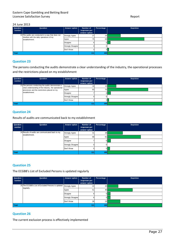| Question<br>number | Question                                                                                        | Answer option            | Number of<br>responses per | Percentage | <b>Depiction</b> |
|--------------------|-------------------------------------------------------------------------------------------------|--------------------------|----------------------------|------------|------------------|
|                    |                                                                                                 |                          | answer option              |            |                  |
|                    | 22 The audits are conducted in a way that does not<br>interfere with the daily operations of my | <b>Strongly Agree</b>    | 27                         | 24         |                  |
|                    | establishment.                                                                                  | Agree                    | 75                         | 68         |                  |
|                    |                                                                                                 | <b>Disagree</b>          |                            |            |                  |
|                    |                                                                                                 | <b>Strongly Disagree</b> |                            |            |                  |
|                    |                                                                                                 | Don't Know               |                            |            |                  |
| <b>Total</b>       |                                                                                                 |                          | 111                        | 100        |                  |

#### **Question 23**

The persons conducting the audits demonstrate a clear understanding of the industry, the operational processes and the restrictions placed on my establishment

| Question | Question                                                                                                   | Answer option            | Number of     | Percentage       | <b>Depiction</b> |
|----------|------------------------------------------------------------------------------------------------------------|--------------------------|---------------|------------------|------------------|
| number   |                                                                                                            |                          | responses per |                  |                  |
|          |                                                                                                            |                          | answer option |                  |                  |
|          | 23 The persons conducting the audits demonstrate a<br>clear understanding of the industry, the operational | <b>Strongly Agree</b>    | 18            | 16 <sub>1</sub>  |                  |
|          | processes and the restrictions placed on my                                                                | Agree                    | 83            | 75               |                  |
|          | establishment.                                                                                             | <b>Disagree</b>          |               |                  |                  |
|          |                                                                                                            | <b>Strongly Disagree</b> | 0             |                  |                  |
|          |                                                                                                            | Don't Know               |               |                  |                  |
| Total    |                                                                                                            |                          | 111           | 100 <sub>h</sub> |                  |

#### **Question 24**

Results of audits are communicated back to my establishment

| Question<br>number | Question                                                           | Answer option            | Number of<br>responses per<br>answer option | Percentage | <b>Depiction</b> |
|--------------------|--------------------------------------------------------------------|--------------------------|---------------------------------------------|------------|------------------|
|                    | 24 Results of audits are communicated back to my<br>establishment. | <b>Strongly Agree</b>    | 31                                          | 28         |                  |
|                    |                                                                    | Agree                    | 68                                          | 61         |                  |
|                    |                                                                    | <b>Disagree</b>          |                                             | 6II        |                  |
|                    |                                                                    | <b>Strongly Disagree</b> |                                             |            |                  |
|                    |                                                                    | Don't Know               |                                             | 5Ι         |                  |
| Total              |                                                                    |                          | 111                                         | 100        |                  |

#### **Question 25**

The ECGBB's List of Excluded Persons is updated regularly

| Question<br>number | Question                                           | <b>Answer option</b>     | Number of<br>responses per<br>answer option | Percentage       | <b>Depiction</b> |
|--------------------|----------------------------------------------------|--------------------------|---------------------------------------------|------------------|------------------|
|                    | 25 The ECGBB's List of Excluded Persons is updated | <b>Strongly Agree</b>    | 22                                          | 20               |                  |
|                    | regularly.                                         | Agree                    | 51                                          | 46               |                  |
|                    |                                                    | <b>Disagree</b>          |                                             |                  |                  |
|                    |                                                    | <b>Strongly Disagree</b> |                                             |                  |                  |
|                    |                                                    | Don't Know               | 26                                          | 23               |                  |
| Total              |                                                    |                          | 111                                         | 100 <sub>h</sub> |                  |

#### **Question 26**

The current exclusion process is effectively implemented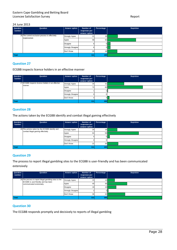| Question<br>number | Question                                                        | Answer option            | Number of<br>responses per<br>answer option | Percentage      | <b>Depiction</b> |
|--------------------|-----------------------------------------------------------------|--------------------------|---------------------------------------------|-----------------|------------------|
|                    | 26 The current exclusion process is effectively<br>implemented. | <b>Strongly Agree</b>    | 21                                          | 19 <sup>1</sup> |                  |
|                    |                                                                 | Agree                    | 58                                          | 52              |                  |
|                    |                                                                 | Disagree                 |                                             | 5 F             |                  |
|                    |                                                                 | <b>Strongly Disagree</b> | b                                           | 5Ι              |                  |
|                    |                                                                 | Don't Know               | 20                                          | 18 <sup>1</sup> |                  |
| Total              |                                                                 |                          | 111                                         | 100             |                  |

#### **Question 27**

ECGBB inspects licence holders in an effective manner

| Question<br>number | Question                                          | <b>Answer option</b>     | Number of<br>responses per<br>answer option | Percentage       | <b>Depiction</b> |
|--------------------|---------------------------------------------------|--------------------------|---------------------------------------------|------------------|------------------|
|                    | 27 ECGBB inspects licence holders in an effective | <b>Strongly Agree</b>    | 34                                          | 31               |                  |
|                    | manner.                                           | Agree                    | 72                                          | 65               |                  |
|                    |                                                   | Disagree                 |                                             |                  |                  |
|                    |                                                   | <b>Strongly Disagree</b> |                                             |                  |                  |
|                    |                                                   | Don't Know               |                                             |                  |                  |
| Total              |                                                   |                          | 111                                         | 100 <sub>1</sub> |                  |

#### **Question 28**

The actions taken by the ECGBB identify and combat illegal gaming effectively

| Question<br>number | Question                                                                             | Answer option            | Number of<br>responses per<br>answer option | Percentage       | <b>Depiction</b> |
|--------------------|--------------------------------------------------------------------------------------|--------------------------|---------------------------------------------|------------------|------------------|
|                    | 28 The actions taken by the ECGBB identify and<br>combat illegal gaming effectively. | <b>Strongly Agree</b>    | 20                                          | 18 <sub>h</sub>  |                  |
|                    |                                                                                      | Agree                    | 64                                          | 58               |                  |
|                    |                                                                                      | Disagree                 | Ð.                                          | ы                |                  |
|                    |                                                                                      | <b>Strongly Disagree</b> |                                             |                  |                  |
|                    |                                                                                      | Don't Know               | 22                                          | 20               |                  |
| Total              |                                                                                      |                          | 111                                         | 100 <sub>h</sub> |                  |

#### **Question 29**

The process to report illegal gambling sites to the ECGBB is user-friendly and has been communicated extensively

| Question<br>number | Question                                                                                      | Answer option            | Number of<br>responses per<br>answer option | Percentage       | <b>Depiction</b> |
|--------------------|-----------------------------------------------------------------------------------------------|--------------------------|---------------------------------------------|------------------|------------------|
|                    | 29 The process to report illegal gambling sites to the<br>ECGBB is user-friendly and has been | <b>Strongly Agree</b>    | 15                                          | 14               |                  |
|                    | communicated extensively.                                                                     | Agree                    | 40                                          | 36               |                  |
|                    |                                                                                               | <b>Disagree</b>          | 18I                                         | 16               |                  |
|                    |                                                                                               | <b>Strongly Disagree</b> |                                             |                  |                  |
|                    |                                                                                               | Don't Know               | 36                                          | 32               |                  |
| <b>Total</b>       |                                                                                               |                          | 111                                         | 100 <sub>1</sub> |                  |

#### **Question 30**

The ECGBB responds promptly and decisively to reports of illegal gambling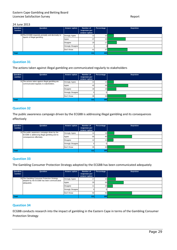| Question<br>number | Question                                                                         | Answer option            | Number of<br>responses per | Percentage      | <b>Depiction</b> |
|--------------------|----------------------------------------------------------------------------------|--------------------------|----------------------------|-----------------|------------------|
|                    |                                                                                  |                          | answer option              |                 |                  |
|                    | 30 The ECGBB responds promptly and decisively to<br>reports of illegal gambling. | <b>Strongly Agree</b>    | 13                         | 12 <sub>1</sub> |                  |
|                    |                                                                                  | Agree                    | 37                         | 33              |                  |
|                    |                                                                                  | <b>Disagree</b>          | 19                         |                 |                  |
|                    |                                                                                  | <b>Strongly Disagree</b> |                            |                 |                  |
|                    |                                                                                  | Don't Know               | 41                         | 37              |                  |
| <b>Total</b>       |                                                                                  |                          | 111                        | 100             |                  |

#### **Question 31**

The actions taken against illegal gambling are communicated regularly to stakeholders

| Question<br>number | Question                                                                                     | Answer option            | Number of<br>responses per<br>answer option | Percentage      | <b>Depiction</b> |
|--------------------|----------------------------------------------------------------------------------------------|--------------------------|---------------------------------------------|-----------------|------------------|
|                    | 31 The actions taken against illegal gambling are<br>communicated regularly to stakeholders. | <b>Strongly Agree</b>    | 13                                          |                 |                  |
|                    |                                                                                              | Agree                    | 42                                          | 38 <sup>1</sup> |                  |
|                    |                                                                                              | Disagree                 | 18                                          | 16 <sub>h</sub> |                  |
|                    |                                                                                              | <b>Strongly Disagree</b> |                                             |                 |                  |
|                    |                                                                                              | Don't Know               | 38                                          | 34              |                  |
| Total              |                                                                                              |                          | 111                                         | 100             |                  |

#### **Question 32**

The public awareness campaign driven by the ECGBB is addressing illegal gambling and its consequences effectively

| Question<br>number | Question                                                                  | Answer option            | Number of<br>responses per<br>answer option | Percentage      | <b>Depiction</b> |
|--------------------|---------------------------------------------------------------------------|--------------------------|---------------------------------------------|-----------------|------------------|
|                    | 32 The public awareness campaign driven by the                            | <b>Strongly Agree</b>    | 14                                          | 13 <sub>h</sub> |                  |
|                    | ECGBB is addressing illegal gambling and its<br>consequences effectively. | Agree                    | 50                                          | 45              |                  |
|                    |                                                                           | Disagree                 | 12                                          |                 |                  |
|                    |                                                                           | <b>Strongly Disagree</b> |                                             |                 |                  |
|                    |                                                                           | Don't Know               | 35 <sub>1</sub>                             | 32 <sub>1</sub> |                  |
| Total              |                                                                           |                          | 111                                         | 100             |                  |

#### **Question 33**

The Gambling Consumer Protection Strategy adopted by the ECGBB has been communicated adequately

| Question<br>number | Question                                                                                   | Answer option            | Number of<br>responses per<br>answer option | Percentage      | <b>Depiction</b> |
|--------------------|--------------------------------------------------------------------------------------------|--------------------------|---------------------------------------------|-----------------|------------------|
|                    | 33 The Gambling Consumer Protection Strategy<br>adopted by the ECGBB has been communicated | <b>Strongly Agree</b>    | 17                                          | 15              |                  |
|                    | adequately.                                                                                | Agree                    | 33                                          | 30              |                  |
|                    |                                                                                            | <b>Disagree</b>          |                                             | 10 <sub>h</sub> |                  |
|                    |                                                                                            | <b>Strongly Disagree</b> |                                             |                 |                  |
|                    |                                                                                            | Don't Know               | 50                                          | 45              |                  |
| Total              |                                                                                            |                          | 111                                         | 100             |                  |

#### **Question 34**

ECGBB conducts research into the impact of gambling in the Eastern Cape in terms of the Gambling Consumer Protection Strategy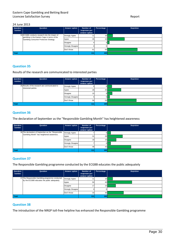| Question<br>number | Question                                                                                      | Answer option            | Number of                      | Percentage      | <b>Depiction</b> |
|--------------------|-----------------------------------------------------------------------------------------------|--------------------------|--------------------------------|-----------------|------------------|
|                    |                                                                                               |                          | responses per<br>answer option |                 |                  |
|                    | 34 ECGBB conducts research into the impact of<br>gambling in the Eastern Cape in terms of the | <b>Strongly Agree</b>    | 11                             | 10 <sub>1</sub> |                  |
|                    | Gambling Consumer Protection Strategy.                                                        | Agree                    | 35                             | 32 <sub>l</sub> |                  |
|                    |                                                                                               | <b>Disagree</b>          |                                |                 |                  |
|                    |                                                                                               | <b>Strongly Disagree</b> | ΩI                             |                 |                  |
|                    |                                                                                               | Don't Know               | 61                             | 55              |                  |
| <b>Total</b>       |                                                                                               |                          | 111                            | 100             |                  |

#### **Question 35**

Results of the research are communicated to interested parties

| Question<br>number | Question                                                              | Answer option            | Number of<br>responses per<br>answer option | Percentage | <b>Depiction</b> |
|--------------------|-----------------------------------------------------------------------|--------------------------|---------------------------------------------|------------|------------------|
|                    | 35 Results of the research are communicated to<br>interested parties. | <b>Strongly Agree</b>    |                                             |            |                  |
|                    |                                                                       | Agree                    | 28                                          | 25         |                  |
|                    |                                                                       | Disagree                 | 10                                          |            |                  |
|                    |                                                                       | <b>Strongly Disagree</b> |                                             |            |                  |
|                    |                                                                       | Don't Know               | 59                                          | 53         |                  |
| <b>Total</b>       |                                                                       |                          | 111                                         | 100        |                  |

#### **Question 36**

The declaration of September as the "Responsible Gambling Month" has heightened awareness

| Question | Question                                                                                         | Answer option            | Number of                      | Percentage | <b>Depiction</b> |
|----------|--------------------------------------------------------------------------------------------------|--------------------------|--------------------------------|------------|------------------|
| number   |                                                                                                  |                          | responses per<br>answer option |            |                  |
|          | 36 The declaration of September as the "Responsible<br>Gambling Month" has heightened awareness. | <b>Strongly Agree</b>    |                                |            |                  |
|          |                                                                                                  | Agree                    | 31                             | 28         |                  |
|          |                                                                                                  | Disagree                 | 18                             | 16.        |                  |
|          |                                                                                                  | <b>Strongly Disagree</b> |                                |            |                  |
|          |                                                                                                  | Don't Know               | 48                             | 43         |                  |
| Total    |                                                                                                  |                          | 111                            | 100        |                  |

#### **Question 37**

The Responsible Gambling programme conducted by the ECGBB educates the public adequately

| Question<br>number | Question                                        | Answer option            | Number of<br>responses per<br>answer option | Percentage      | <b>Depiction</b> |
|--------------------|-------------------------------------------------|--------------------------|---------------------------------------------|-----------------|------------------|
|                    | 37 The Responsible Gambling programme conducted | <b>Strongly Agree</b>    |                                             | 10 <sup>1</sup> |                  |
|                    | by the ECGBB educates the public adequately.    | Agree                    | 50                                          | 45              |                  |
|                    |                                                 | Disagree                 | 17                                          | 15 <sub>h</sub> |                  |
|                    |                                                 | <b>Strongly Disagree</b> |                                             |                 |                  |
|                    |                                                 | Don't Know               | 33                                          | 30              |                  |
| Total              |                                                 |                          | 111                                         | 100             |                  |

#### **Question 38**

The introduction of the NRGP toll-free helpline has enhanced the Responsible Gambling programme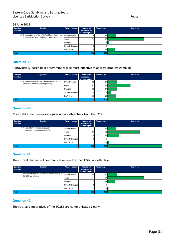| Question<br>number | Question                                                                                               | Answer option            | Number of<br>responses per | Percentage      | <b>Depiction</b> |
|--------------------|--------------------------------------------------------------------------------------------------------|--------------------------|----------------------------|-----------------|------------------|
|                    |                                                                                                        |                          | answer option              |                 |                  |
|                    | 38 The introduction of the NRGP toll-free helpline has<br>enhanced the Responsible Gambling programme. | <b>Strongly Agree</b>    | 18                         | 16              |                  |
|                    |                                                                                                        | Agree                    | 74                         | 67              |                  |
|                    |                                                                                                        | <b>Disagree</b>          |                            |                 |                  |
|                    |                                                                                                        | <b>Strongly Disagree</b> | $\Omega$                   |                 |                  |
|                    |                                                                                                        | Don't Know               | 16                         | 14 <sub>1</sub> |                  |
| <b>Total</b>       |                                                                                                        |                          | 1111                       | 100             |                  |

#### **Question 39**

A provincially-based help programme will be more effective to address problem gambling

| Question<br>number | Question                                                                                      | Answer option            | Number of<br>responses per<br>answer option | Percentage      | <b>Depiction</b> |
|--------------------|-----------------------------------------------------------------------------------------------|--------------------------|---------------------------------------------|-----------------|------------------|
|                    | 39 A provincially-based help programme will be more<br>effective to address problem gambling. | <b>Strongly Agree</b>    | 19                                          |                 |                  |
|                    |                                                                                               | Agree                    | 47                                          | 42              |                  |
|                    |                                                                                               | Disagree                 | 19                                          |                 |                  |
|                    |                                                                                               | <b>Strongly Disagree</b> |                                             |                 |                  |
|                    |                                                                                               | Don't Know               | 18                                          | 16 <sub>1</sub> |                  |
| <b>Total</b>       |                                                                                               |                          | 111                                         | 100             |                  |

#### **Question 40**

My establishment receives regular updates/feedback from the ECGBB

| Question<br>number | Question                                                                 | Answer option            | Number of<br>responses per<br>answer option | Percentage      | <b>Depiction</b> |
|--------------------|--------------------------------------------------------------------------|--------------------------|---------------------------------------------|-----------------|------------------|
|                    | 40 My establishment receives regular<br>updates/feedback from the ECGBB. | <b>Strongly Agree</b>    | 17 <sup>1</sup>                             | 15 <sub>l</sub> |                  |
|                    |                                                                          | Agree                    | 67                                          | 60              |                  |
|                    |                                                                          | Disagree                 | 24                                          | 22              |                  |
|                    |                                                                          | <b>Strongly Disagree</b> |                                             |                 |                  |
|                    |                                                                          | Don't Know               |                                             | з.              |                  |
| <b>Total</b>       |                                                                          |                          | 111                                         | 100             |                  |

#### **Question 41**

The current channels of communication used by the ECGBB are effective

| Question<br>number | Question                                                                                    | Answer option     | Number of<br>responses per<br>answer option | Percentage | <b>Depiction</b> |
|--------------------|---------------------------------------------------------------------------------------------|-------------------|---------------------------------------------|------------|------------------|
|                    | 41 The current channels of communication used by the Strongly Agree<br>ECGBB are effective. |                   | 20                                          | 18         |                  |
|                    |                                                                                             | Agree             | 74                                          | 67         |                  |
|                    |                                                                                             | Disagree          | 15                                          | 14         |                  |
|                    |                                                                                             | Strongly Disagree |                                             |            |                  |
|                    |                                                                                             | Don't Know        |                                             |            |                  |
| <b>Total</b>       |                                                                                             |                   | 111                                         | 100        |                  |

#### **Question 42**

The strategic imperatives of the ECGBB are communicated clearly